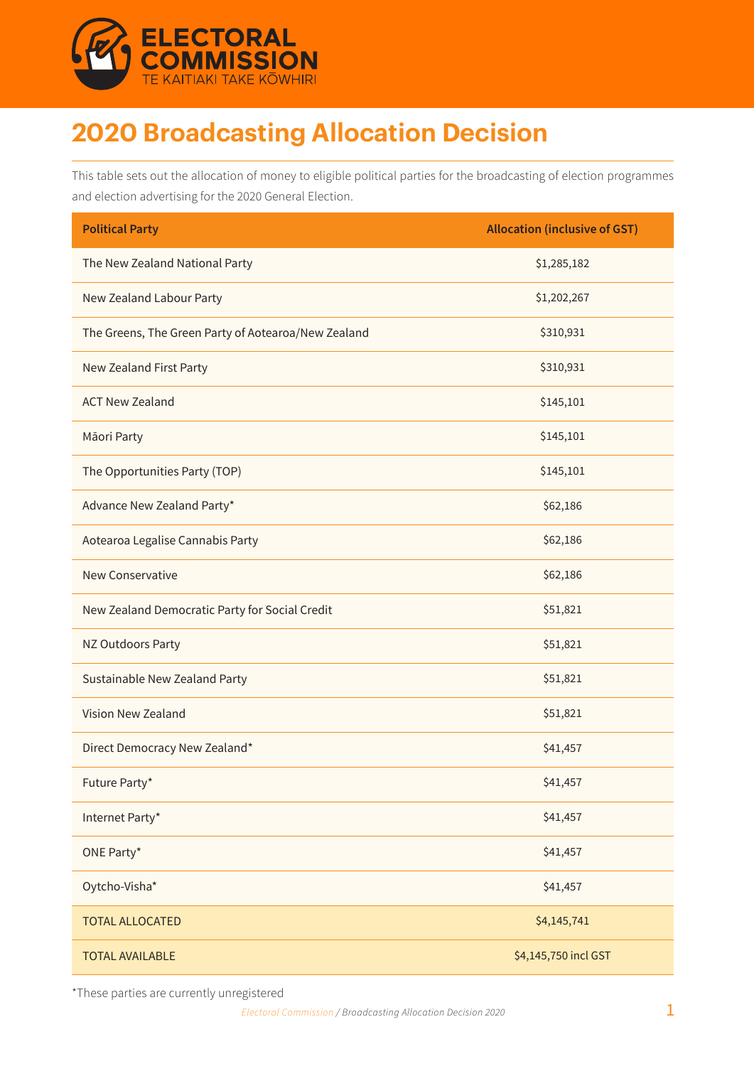

# **2020 Broadcasting Allocation Decision**

This table sets out the allocation of money to eligible political parties for the broadcasting of election programmes and election advertising for the 2020 General Election.

| <b>Political Party</b>                              | <b>Allocation (inclusive of GST)</b> |
|-----------------------------------------------------|--------------------------------------|
| The New Zealand National Party                      | \$1,285,182                          |
| New Zealand Labour Party                            | \$1,202,267                          |
| The Greens, The Green Party of Aotearoa/New Zealand | \$310,931                            |
| New Zealand First Party                             | \$310,931                            |
| <b>ACT New Zealand</b>                              | \$145,101                            |
| Māori Party                                         | \$145,101                            |
| The Opportunities Party (TOP)                       | \$145,101                            |
| Advance New Zealand Party*                          | \$62,186                             |
| Aotearoa Legalise Cannabis Party                    | \$62,186                             |
| <b>New Conservative</b>                             | \$62,186                             |
| New Zealand Democratic Party for Social Credit      | \$51,821                             |
| NZ Outdoors Party                                   | \$51,821                             |
| Sustainable New Zealand Party                       | \$51,821                             |
| Vision New Zealand                                  | \$51,821                             |
| Direct Democracy New Zealand*                       | \$41,457                             |
| Future Party*                                       | \$41,457                             |
| Internet Party*                                     | \$41,457                             |
| ONE Party*                                          | \$41,457                             |
| Oytcho-Visha*                                       | \$41,457                             |
| <b>TOTAL ALLOCATED</b>                              | \$4,145,741                          |
| <b>TOTAL AVAILABLE</b>                              | \$4,145,750 incl GST                 |

\*These parties are currently unregistered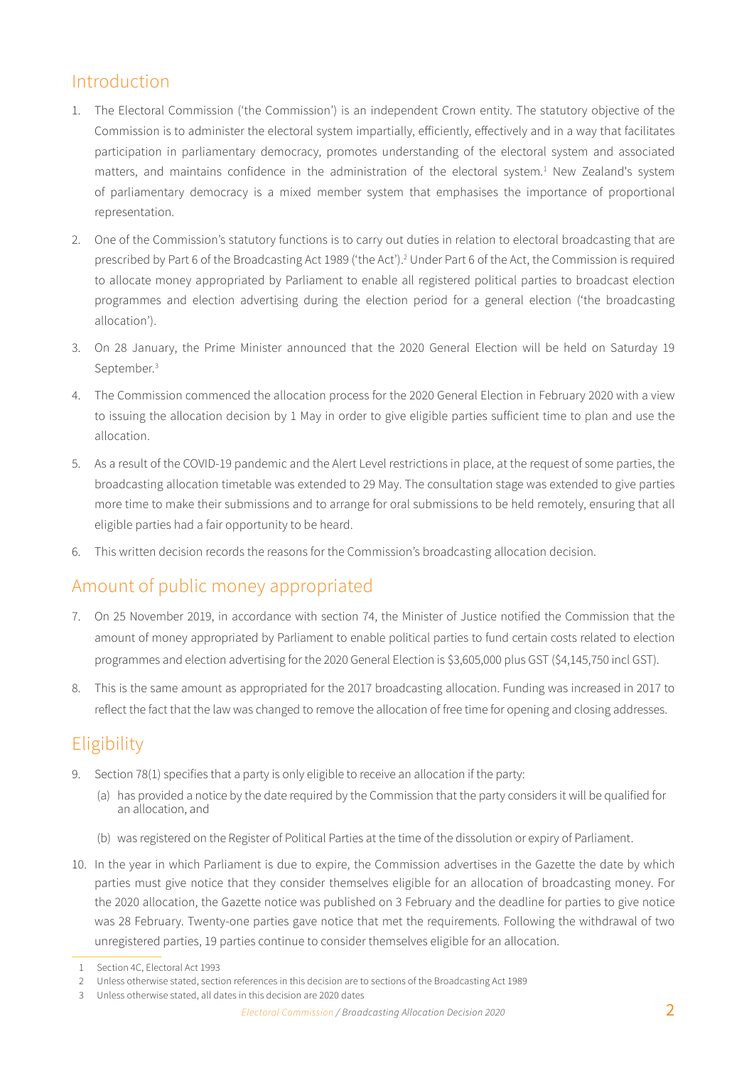# Introduction

- 1. The Electoral Commission ('the Commission') is an independent Crown entity. The statutory objective of the Commission is to administer the electoral system impartially, efficiently, effectively and in a way that facilitates participation in parliamentary democracy, promotes understanding of the electoral system and associated matters, and maintains confidence in the administration of the electoral system.<sup>1</sup> New Zealand's system of parliamentary democracy is a mixed member system that emphasises the importance of proportional representation.
- 2. One of the Commission's statutory functions is to carry out duties in relation to electoral broadcasting that are prescribed by Part 6 of the Broadcasting Act 1989 ('the Act').2 Under Part 6 of the Act, the Commission is required to allocate money appropriated by Parliament to enable all registered political parties to broadcast election programmes and election advertising during the election period for a general election ('the broadcasting allocation').
- 3. On 28 January, the Prime Minister announced that the 2020 General Election will be held on Saturday 19 September.<sup>3</sup>
- 4. The Commission commenced the allocation process for the 2020 General Election in February 2020 with a view to issuing the allocation decision by 1 May in order to give eligible parties sufficient time to plan and use the allocation.
- 5. As a result of the COVID-19 pandemic and the Alert Level restrictions in place, at the request of some parties, the broadcasting allocation timetable was extended to 29 May. The consultation stage was extended to give parties more time to make their submissions and to arrange for oral submissions to be held remotely, ensuring that all eligible parties had a fair opportunity to be heard.
- 6. This written decision records the reasons for the Commission's broadcasting allocation decision.

# Amount of public money appropriated

- 7. On 25 November 2019, in accordance with section 74, the Minister of Justice notified the Commission that the amount of money appropriated by Parliament to enable political parties to fund certain costs related to election programmes and election advertising for the 2020 General Election is \$3,605,000 plus GST (\$4,145,750 incl GST).
- 8. This is the same amount as appropriated for the 2017 broadcasting allocation. Funding was increased in 2017 to reflect the fact that the law was changed to remove the allocation of free time for opening and closing addresses.

# Eligibility

- 9. Section 78(1) specifies that a party is only eligible to receive an allocation if the party:
	- (a) has provided a notice by the date required by the Commission that the party considers it will be qualified for an allocation, and
	- (b) was registered on the Register of Political Parties at the time of the dissolution or expiry of Parliament.
- 10. In the year in which Parliament is due to expire, the Commission advertises in the Gazette the date by which parties must give notice that they consider themselves eligible for an allocation of broadcasting money. For the 2020 allocation, the Gazette notice was published on 3 February and the deadline for parties to give notice was 28 February. Twenty-one parties gave notice that met the requirements. Following the withdrawal of two unregistered parties, 19 parties continue to consider themselves eligible for an allocation.

<sup>1</sup> Section 4C, Electoral Act 1993

<sup>2</sup> Unless otherwise stated, section references in this decision are to sections of the Broadcasting Act 1989

<sup>3</sup> Unless otherwise stated, all dates in this decision are 2020 dates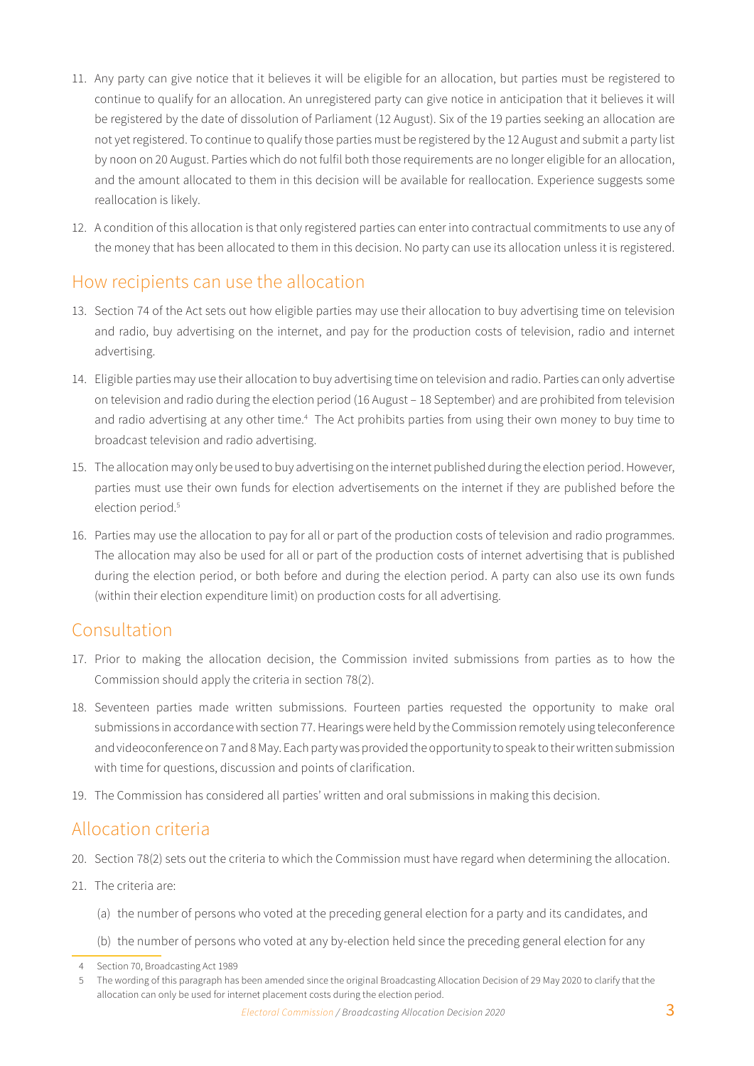- 11. Any party can give notice that it believes it will be eligible for an allocation, but parties must be registered to continue to qualify for an allocation. An unregistered party can give notice in anticipation that it believes it will be registered by the date of dissolution of Parliament (12 August). Six of the 19 parties seeking an allocation are not yet registered. To continue to qualify those parties must be registered by the 12 August and submit a party list by noon on 20 August. Parties which do not fulfil both those requirements are no longer eligible for an allocation, and the amount allocated to them in this decision will be available for reallocation. Experience suggests some reallocation is likely.
- 12. A condition of this allocation is that only registered parties can enter into contractual commitments to use any of the money that has been allocated to them in this decision. No party can use its allocation unless it is registered.

### How recipients can use the allocation

- 13. Section 74 of the Act sets out how eligible parties may use their allocation to buy advertising time on television and radio, buy advertising on the internet, and pay for the production costs of television, radio and internet advertising.
- 14. Eligible parties may use their allocation to buy advertising time on television and radio. Parties can only advertise on television and radio during the election period (16 August – 18 September) and are prohibited from television and radio advertising at any other time.<sup>4</sup> The Act prohibits parties from using their own money to buy time to broadcast television and radio advertising.
- 15. The allocation may only be used to buy advertising on the internet published during the election period. However, parties must use their own funds for election advertisements on the internet if they are published before the election period.<sup>5</sup>
- 16. Parties may use the allocation to pay for all or part of the production costs of television and radio programmes. The allocation may also be used for all or part of the production costs of internet advertising that is published during the election period, or both before and during the election period. A party can also use its own funds (within their election expenditure limit) on production costs for all advertising.

### Consultation

- 17. Prior to making the allocation decision, the Commission invited submissions from parties as to how the Commission should apply the criteria in section 78(2).
- 18. Seventeen parties made written submissions. Fourteen parties requested the opportunity to make oral submissions in accordance with section 77. Hearings were held by the Commission remotely using teleconference and videoconference on 7 and 8 May. Each party was provided the opportunity to speak to their written submission with time for questions, discussion and points of clarification.
- 19. The Commission has considered all parties' written and oral submissions in making this decision.

# Allocation criteria

- 20. Section 78(2) sets out the criteria to which the Commission must have regard when determining the allocation.
- 21. The criteria are:
	- (a) the number of persons who voted at the preceding general election for a party and its candidates, and
	- (b) the number of persons who voted at any by-election held since the preceding general election for any

<sup>4</sup> Section 70, Broadcasting Act 1989

<sup>5</sup> The wording of this paragraph has been amended since the original Broadcasting Allocation Decision of 29 May 2020 to clarify that the allocation can only be used for internet placement costs during the election period.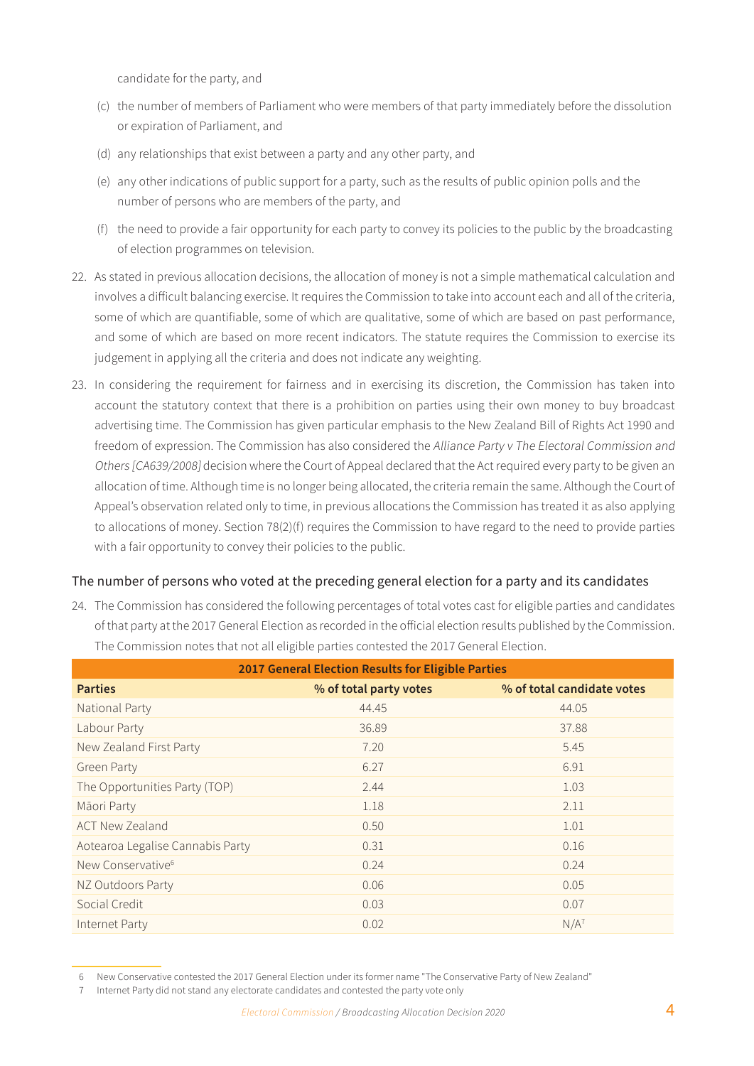candidate for the party, and

- (c) the number of members of Parliament who were members of that party immediately before the dissolution or expiration of Parliament, and
- (d) any relationships that exist between a party and any other party, and
- (e) any other indications of public support for a party, such as the results of public opinion polls and the number of persons who are members of the party, and
- (f) the need to provide a fair opportunity for each party to convey its policies to the public by the broadcasting of election programmes on television.
- 22. As stated in previous allocation decisions, the allocation of money is not a simple mathematical calculation and involves a difficult balancing exercise. It requires the Commission to take into account each and all of the criteria, some of which are quantifiable, some of which are qualitative, some of which are based on past performance, and some of which are based on more recent indicators. The statute requires the Commission to exercise its judgement in applying all the criteria and does not indicate any weighting.
- 23. In considering the requirement for fairness and in exercising its discretion, the Commission has taken into account the statutory context that there is a prohibition on parties using their own money to buy broadcast advertising time. The Commission has given particular emphasis to the New Zealand Bill of Rights Act 1990 and freedom of expression. The Commission has also considered the Alliance Party v The Electoral Commission and Others [CA639/2008] decision where the Court of Appeal declared that the Act required every party to be given an allocation of time. Although time is no longer being allocated, the criteria remain the same. Although the Court of Appeal's observation related only to time, in previous allocations the Commission has treated it as also applying to allocations of money. Section 78(2)(f) requires the Commission to have regard to the need to provide parties with a fair opportunity to convey their policies to the public.

#### The number of persons who voted at the preceding general election for a party and its candidates

24. The Commission has considered the following percentages of total votes cast for eligible parties and candidates of that party at the 2017 General Election as recorded in the official election results published by the Commission. The Commission notes that not all eligible parties contested the 2017 General Election.

| 2017 General Election Results for Eligible Parties |                        |                            |  |  |  |  |
|----------------------------------------------------|------------------------|----------------------------|--|--|--|--|
| <b>Parties</b>                                     | % of total party votes | % of total candidate votes |  |  |  |  |
| National Party                                     | 44.45                  | 44.05                      |  |  |  |  |
| Labour Party                                       | 36.89                  | 37.88                      |  |  |  |  |
| New Zealand First Party                            | 7.20                   | 5.45                       |  |  |  |  |
| <b>Green Party</b>                                 | 6.27                   | 6.91                       |  |  |  |  |
| The Opportunities Party (TOP)                      | 2.44                   | 1.03                       |  |  |  |  |
| Māori Party                                        | 1.18                   | 2.11                       |  |  |  |  |
| <b>ACT New Zealand</b>                             | 0.50                   | 1.01                       |  |  |  |  |
| Aotearoa Legalise Cannabis Party                   | 0.31                   | 0.16                       |  |  |  |  |
| New Conservative <sup>6</sup>                      | 0.24                   | 0.24                       |  |  |  |  |
| NZ Outdoors Party                                  | 0.06                   | 0.05                       |  |  |  |  |
| Social Credit                                      | 0.03                   | 0.07                       |  |  |  |  |
| Internet Party                                     | 0.02                   | $N/A^7$                    |  |  |  |  |

<sup>6</sup> New Conservative contested the 2017 General Election under its former name "The Conservative Party of New Zealand"

<sup>7</sup> Internet Party did not stand any electorate candidates and contested the party vote only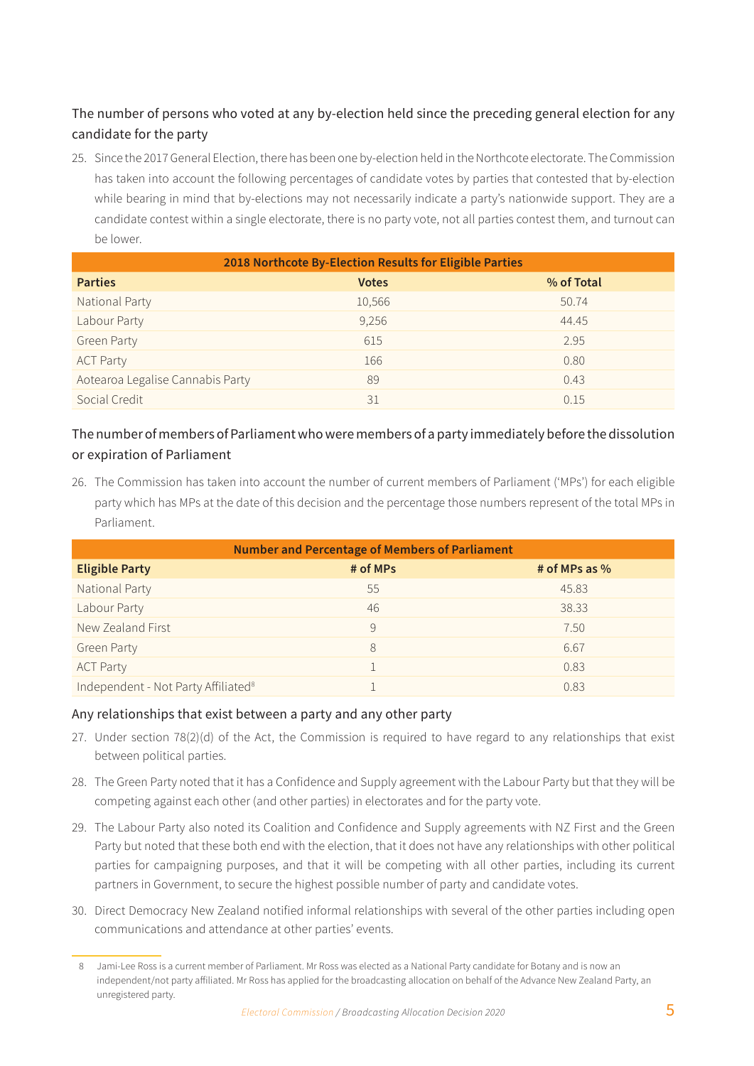### The number of persons who voted at any by-election held since the preceding general election for any candidate for the party

25. Since the 2017 General Election, there has been one by-election held in the Northcote electorate. The Commission has taken into account the following percentages of candidate votes by parties that contested that by-election while bearing in mind that by-elections may not necessarily indicate a party's nationwide support. They are a candidate contest within a single electorate, there is no party vote, not all parties contest them, and turnout can be lower.

| 2018 Northcote By-Election Results for Eligible Parties |              |            |  |  |  |
|---------------------------------------------------------|--------------|------------|--|--|--|
| <b>Parties</b>                                          | <b>Votes</b> | % of Total |  |  |  |
| National Party                                          | 10,566       | 50.74      |  |  |  |
| Labour Party                                            | 9,256        | 44.45      |  |  |  |
| <b>Green Party</b>                                      | 615          | 2.95       |  |  |  |
| <b>ACT Party</b>                                        | 166          | 0.80       |  |  |  |
| Aotearoa Legalise Cannabis Party                        | 89           | 0.43       |  |  |  |
| Social Credit                                           | 31           | 0.15       |  |  |  |

### The number of members of Parliament who were members of a party immediately before the dissolution or expiration of Parliament

26. The Commission has taken into account the number of current members of Parliament ('MPs') for each eligible party which has MPs at the date of this decision and the percentage those numbers represent of the total MPs in Parliament.

| <b>Number and Percentage of Members of Parliament</b> |          |               |  |  |  |  |
|-------------------------------------------------------|----------|---------------|--|--|--|--|
| <b>Eligible Party</b>                                 | # of MPs | # of MPs as % |  |  |  |  |
| National Party                                        | 55       | 45.83         |  |  |  |  |
| Labour Party                                          | 46       | 38.33         |  |  |  |  |
| New Zealand First                                     | 9        | 7.50          |  |  |  |  |
| <b>Green Party</b>                                    | 8        | 6.67          |  |  |  |  |
| <b>ACT Party</b>                                      |          | 0.83          |  |  |  |  |
| Independent - Not Party Affiliated <sup>8</sup>       |          | 0.83          |  |  |  |  |

#### Any relationships that exist between a party and any other party

- 27. Under section 78(2)(d) of the Act, the Commission is required to have regard to any relationships that exist between political parties.
- 28. The Green Party noted that it has a Confidence and Supply agreement with the Labour Party but that they will be competing against each other (and other parties) in electorates and for the party vote.
- 29. The Labour Party also noted its Coalition and Confidence and Supply agreements with NZ First and the Green Party but noted that these both end with the election, that it does not have any relationships with other political parties for campaigning purposes, and that it will be competing with all other parties, including its current partners in Government, to secure the highest possible number of party and candidate votes.
- 30. Direct Democracy New Zealand notified informal relationships with several of the other parties including open communications and attendance at other parties' events.

<sup>8</sup> Jami-Lee Ross is a current member of Parliament. Mr Ross was elected as a National Party candidate for Botany and is now an independent/not party affiliated. Mr Ross has applied for the broadcasting allocation on behalf of the Advance New Zealand Party, an unregistered party.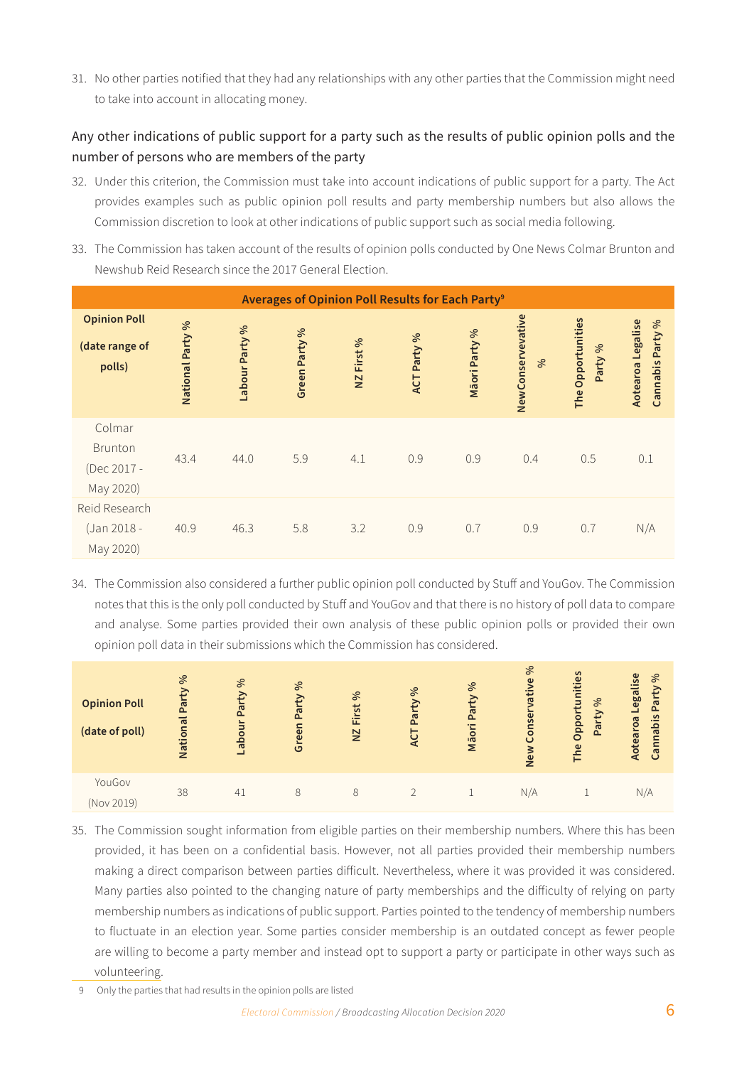31. No other parties notified that they had any relationships with any other parties that the Commission might need to take into account in allocating money.

### Any other indications of public support for a party such as the results of public opinion polls and the number of persons who are members of the party

- 32. Under this criterion, the Commission must take into account indications of public support for a party. The Act provides examples such as public opinion poll results and party membership numbers but also allows the Commission discretion to look at other indications of public support such as social media following.
- 33. The Commission has taken account of the results of opinion polls conducted by One News Colmar Brunton and Newshub Reid Research since the 2017 General Election.

|                                                 |                         |                |               |            | Averages of Opinion Poll Results for Each Party <sup>9</sup> |               |                                     |                              |                                          |
|-------------------------------------------------|-------------------------|----------------|---------------|------------|--------------------------------------------------------------|---------------|-------------------------------------|------------------------------|------------------------------------------|
| <b>Opinion Poll</b><br>(date range of<br>polls) | <b>National Party %</b> | Labour Party % | Green Party % | NZ First % | ACT Party %                                                  | Māori Party % | NewConservevative<br>8 <sup>o</sup> | The Opportunities<br>Party % | Aotearoa Legalise<br>Party %<br>Cannabis |
| Colmar<br>Brunton<br>(Dec 2017 -<br>May 2020)   | 43.4                    | 44.0           | 5.9           | 4.1        | 0.9                                                          | 0.9           | 0.4                                 | 0.5                          | 0.1                                      |
| Reid Research<br>(Jan 2018 -<br>May 2020)       | 40.9                    | 46.3           | 5.8           | 3.2        | 0.9                                                          | 0.7           | 0.9                                 | 0.7                          | N/A                                      |

34. The Commission also considered a further public opinion poll conducted by Stuff and YouGov. The Commission notes that this is the only poll conducted by Stuff and YouGov and that there is no history of poll data to compare and analyse. Some parties provided their own analysis of these public opinion polls or provided their own opinion poll data in their submissions which the Commission has considered.

| <b>Opinion Poll</b><br>(date of poll) | వ<br>Party<br>National | $\infty$<br>Party<br>abour | $\infty$<br>Party<br>Green | వ<br>First<br>$\Sigma$ | వ<br>Party<br>⊢<br>⋖ | వ<br>Party<br>Māori | 8 <sup>o</sup><br>$\omega$<br>äťi<br><b>Se</b><br>$\circ$<br>New | S<br>Opportunitie<br>$\%$<br>Party<br>The | Aotearoa Legalise<br>వ<br>Party<br>bis<br>anna<br>Ő |
|---------------------------------------|------------------------|----------------------------|----------------------------|------------------------|----------------------|---------------------|------------------------------------------------------------------|-------------------------------------------|-----------------------------------------------------|
| YouGov<br>(Nov 2019)                  | 38                     | 41                         | 8                          |                        |                      |                     | N/A                                                              |                                           | N/A                                                 |

35. The Commission sought information from eligible parties on their membership numbers. Where this has been provided, it has been on a confidential basis. However, not all parties provided their membership numbers making a direct comparison between parties difficult. Nevertheless, where it was provided it was considered. Many parties also pointed to the changing nature of party memberships and the difficulty of relying on party membership numbers as indications of public support. Parties pointed to the tendency of membership numbers to fluctuate in an election year. Some parties consider membership is an outdated concept as fewer people are willing to become a party member and instead opt to support a party or participate in other ways such as volunteering.

9 Only the parties that had results in the opinion polls are listed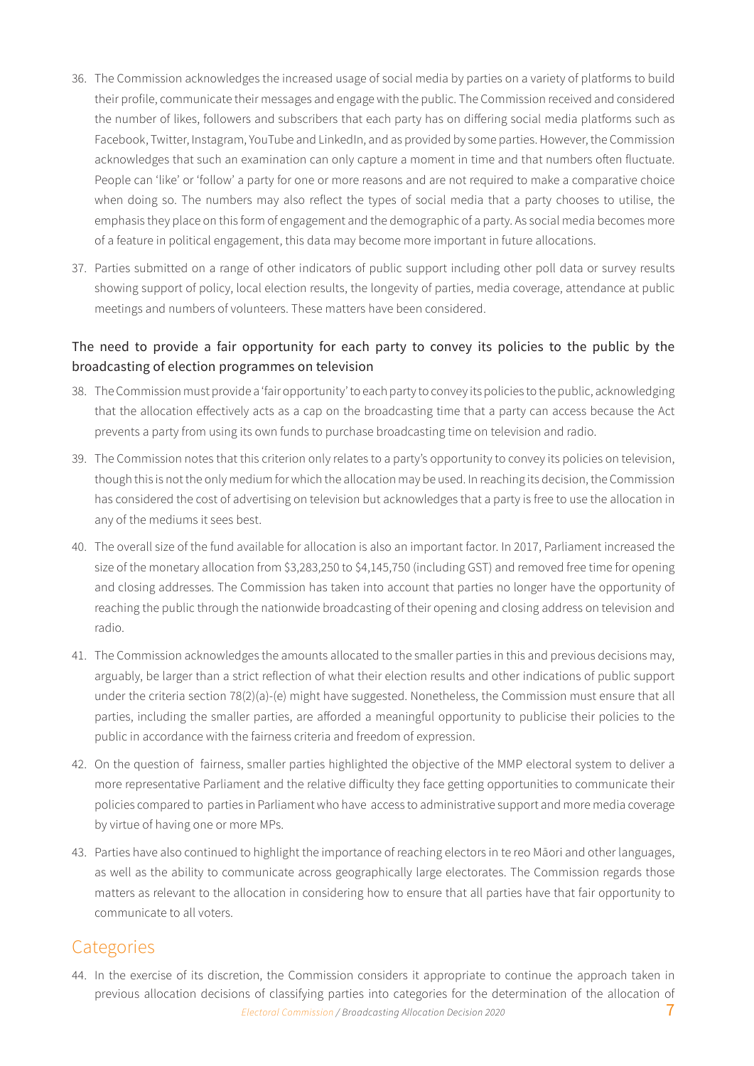- 36. The Commission acknowledges the increased usage of social media by parties on a variety of platforms to build their profile, communicate their messages and engage with the public. The Commission received and considered the number of likes, followers and subscribers that each party has on differing social media platforms such as Facebook, Twitter, Instagram, YouTube and LinkedIn, and as provided by some parties. However, the Commission acknowledges that such an examination can only capture a moment in time and that numbers often fluctuate. People can 'like' or 'follow' a party for one or more reasons and are not required to make a comparative choice when doing so. The numbers may also reflect the types of social media that a party chooses to utilise, the emphasis they place on this form of engagement and the demographic of a party. As social media becomes more of a feature in political engagement, this data may become more important in future allocations.
- 37. Parties submitted on a range of other indicators of public support including other poll data or survey results showing support of policy, local election results, the longevity of parties, media coverage, attendance at public meetings and numbers of volunteers. These matters have been considered.

### The need to provide a fair opportunity for each party to convey its policies to the public by the broadcasting of election programmes on television

- 38. The Commission must provide a 'fair opportunity' to each party to convey its policies to the public, acknowledging that the allocation effectively acts as a cap on the broadcasting time that a party can access because the Act prevents a party from using its own funds to purchase broadcasting time on television and radio.
- 39. The Commission notes that this criterion only relates to a party's opportunity to convey its policies on television, though this is not the only medium for which the allocation may be used. In reaching its decision, the Commission has considered the cost of advertising on television but acknowledges that a party is free to use the allocation in any of the mediums it sees best.
- 40. The overall size of the fund available for allocation is also an important factor. In 2017, Parliament increased the size of the monetary allocation from \$3,283,250 to \$4,145,750 (including GST) and removed free time for opening and closing addresses. The Commission has taken into account that parties no longer have the opportunity of reaching the public through the nationwide broadcasting of their opening and closing address on television and radio.
- 41. The Commission acknowledges the amounts allocated to the smaller parties in this and previous decisions may, arguably, be larger than a strict reflection of what their election results and other indications of public support under the criteria section 78(2)(a)-(e) might have suggested. Nonetheless, the Commission must ensure that all parties, including the smaller parties, are afforded a meaningful opportunity to publicise their policies to the public in accordance with the fairness criteria and freedom of expression.
- 42. On the question of fairness, smaller parties highlighted the objective of the MMP electoral system to deliver a more representative Parliament and the relative difficulty they face getting opportunities to communicate their policies compared to parties in Parliament who have access to administrative support and more media coverage by virtue of having one or more MPs.
- 43. Parties have also continued to highlight the importance of reaching electors in te reo Māori and other languages, as well as the ability to communicate across geographically large electorates. The Commission regards those matters as relevant to the allocation in considering how to ensure that all parties have that fair opportunity to communicate to all voters.

# **Categories**

**Electoral Commission / Broadcasting Allocation Decision 2020** 7 44. In the exercise of its discretion, the Commission considers it appropriate to continue the approach taken in previous allocation decisions of classifying parties into categories for the determination of the allocation of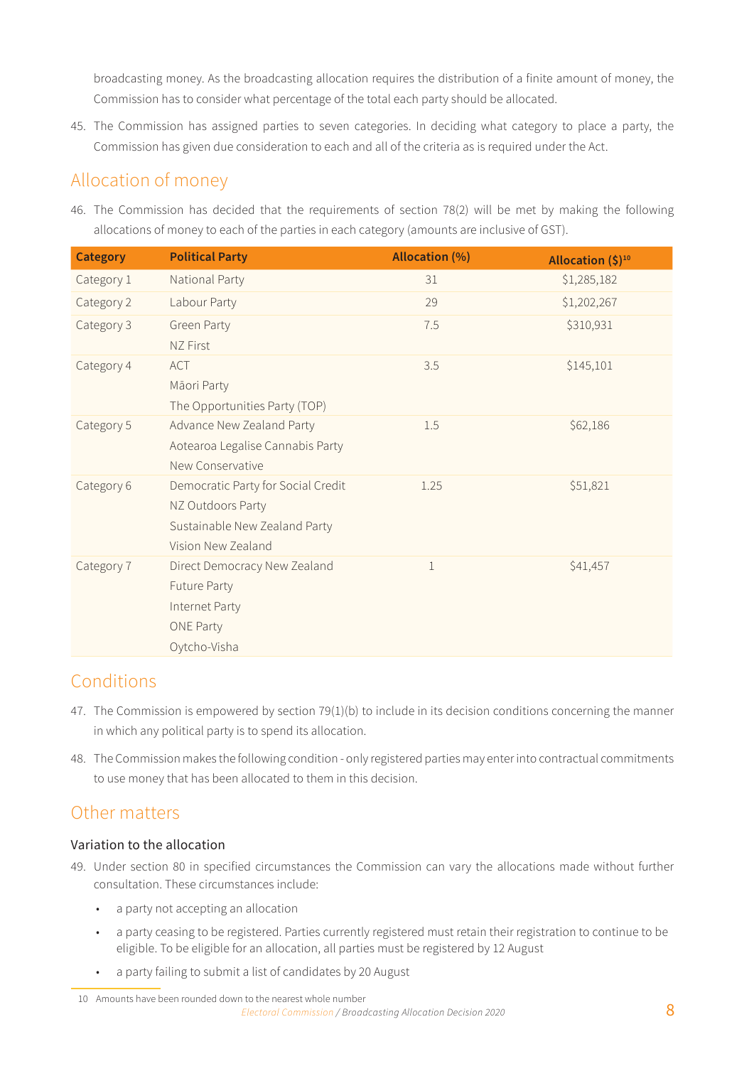broadcasting money. As the broadcasting allocation requires the distribution of a finite amount of money, the Commission has to consider what percentage of the total each party should be allocated.

45. The Commission has assigned parties to seven categories. In deciding what category to place a party, the Commission has given due consideration to each and all of the criteria as is required under the Act.

# Allocation of money

46. The Commission has decided that the requirements of section 78(2) will be met by making the following allocations of money to each of the parties in each category (amounts are inclusive of GST).

| <b>Category</b> | <b>Political Party</b>             | <b>Allocation (%)</b> | Allocation $(\xi)^{10}$ |
|-----------------|------------------------------------|-----------------------|-------------------------|
| Category 1      | National Party                     | 31                    | \$1,285,182             |
| Category 2      | Labour Party                       | 29                    | \$1,202,267             |
| Category 3      | Green Party                        | 7.5                   | \$310,931               |
|                 | NZ First                           |                       |                         |
| Category 4      | ACT                                | 3.5                   | \$145,101               |
|                 | Māori Party                        |                       |                         |
|                 | The Opportunities Party (TOP)      |                       |                         |
| Category 5      | Advance New Zealand Party          | 1.5                   | \$62,186                |
|                 | Aotearoa Legalise Cannabis Party   |                       |                         |
|                 | New Conservative                   |                       |                         |
| Category 6      | Democratic Party for Social Credit | 1.25                  | \$51,821                |
|                 | NZ Outdoors Party                  |                       |                         |
|                 | Sustainable New Zealand Party      |                       |                         |
|                 | Vision New Zealand                 |                       |                         |
| Category 7      | Direct Democracy New Zealand       | $\mathbf{1}$          | \$41,457                |
|                 | Future Party                       |                       |                         |
|                 | Internet Party                     |                       |                         |
|                 | <b>ONE Party</b>                   |                       |                         |
|                 | Oytcho-Visha                       |                       |                         |

# Conditions

- 47. The Commission is empowered by section 79(1)(b) to include in its decision conditions concerning the manner in which any political party is to spend its allocation.
- 48. The Commission makes the following condition only registered parties may enter into contractual commitments to use money that has been allocated to them in this decision.

# Other matters

#### Variation to the allocation

- 49. Under section 80 in specified circumstances the Commission can vary the allocations made without further consultation. These circumstances include:
	- a party not accepting an allocation
	- a party ceasing to be registered. Parties currently registered must retain their registration to continue to be eligible. To be eligible for an allocation, all parties must be registered by 12 August
	- a party failing to submit a list of candidates by 20 August

*Electoral Commission / Broadcasting Allocation Decision 2020* 8 10 Amounts have been rounded down to the nearest whole number